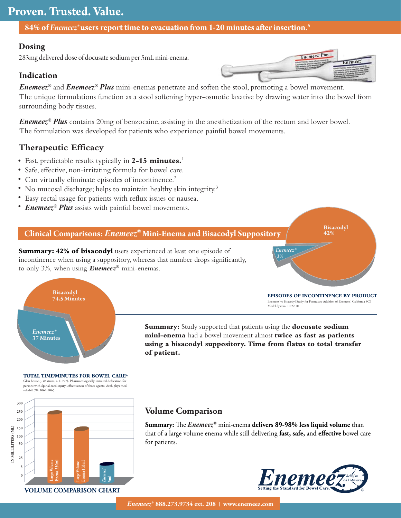# **Proven. Trusted. Value.**

**84% of** *Enemeez***<sup>®</sup> users report time to evacuation from 1-20 minutes after insertion.<sup>5</sup>** 

### **Dosing**

283mg delivered dose of docusate sodium per 5mL mini-enema.

### **Indication**

*Enemeez®* and *Enemeez® Plus* mini-enemas penetrate and soften the stool, promoting a bowel movement. The unique formulations function as a stool softening hyper-osmotic laxative by drawing water into the bowel from surrounding body tissues.

*Enemeez® Plus* contains 20mg of benzocaine, assisting in the anesthetization of the rectum and lower bowel. The formulation was developed for patients who experience painful bowel movements.

### **Therapeutic Efficacy**

- Fast, predictable results typically in **2-15 minutes.**<sup>1</sup> •
- Safe, effective, non-irritating formula for bowel care.
- Can virtually eliminate episodes of incontinence.<sup>2</sup>
- No mucosal discharge; helps to maintain healthy skin integrity.<sup>3</sup>
- Easy rectal usage for patients with reflux issues or nausea. •
- *Enemeez® Plus* assists with painful bowel movements. •

### **Clinical Comparisons:** *Enemeez®* **Mini-Enema and Bisacodyl Suppository**

**Summary: 42% of bisacodyl** users experienced at least one episode of incontinence when using a suppository, whereas that number drops significantly, to only 3%, when using *Enemeez®* mini-enemas.



*Enemeez® Enemeez®*

**Bisacodyl 42%**

**Bisacodyl**

**42%**

Enemeez<sup>\*</sup> vs Bisacodyl Study for Formulary Addition of Enemeez<sup>\*</sup>. California SCI Model System. 10.22.10

**Summary:** Study supported that patients using the **docusate sodium mini-enema** had a bowel movement almost **twice as fast as patients using a bisacodyl suppository. Time from flatus to total transfer of patient.**

Glen house, j, & stiens, s. (1997). Pharmacologically initiated defecation persons with Spinal cord injury: effectiveness of three agents. Arch phys med rehabil, 78: 1062·1065. **TOTAL TIME/MINUTES FOR BOWEL CARE\***

*Enemeez®* **37 Minutes 37 Minutes**

*Enemeez® ®*

**Bisacodyl 74.5 Minutes 74.5 Minutes**

**Bisacodyl**



## **Volume Comparison**

**Summary:** The *Enemeez®* mini-enema delivers 89-98% less liquid volume than that of a large volume enema while still delivering fast, safe, and effective bowel care for patients.